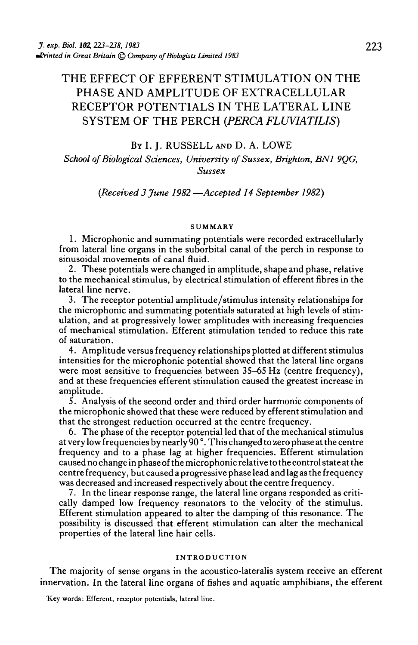# THE EFFECT OF EFFERENT STIMULATION ON THE PHASE AND AMPLITUDE OF EXTRACELLULAR RECEPTOR POTENTIALS IN THE LATERAL LINE SYSTEM OF THE PERCH *(PERCA FLUVIATIUS)*

### BY I. J. RUSSELL AND D. A. LOWE

### *School of Biological Sciences, University of Sussex, Brighton, BN1 9QG, Sussex*

### *{Received 3 June 1982 —Accepted 14 September 1982)*

#### SUMMARY

1. Microphonic and summating potentials were recorded extracellularly from lateral line organs in the suborbital canal of the perch in response to sinusoidal movements of canal fluid.

2. These potentials were changed in amplitude, shape and phase, relative to the mechanical stimulus, by electrical stimulation of efferent fibres in the lateral line nerve.

3. The receptor potential amplitude/stimulus intensity relationships for the microphonic and summating potentials saturated at high levels of stim- ulation, and at progressively lower amplitudes with increasing frequencies of mechanical stimulation. Efferent stimulation tended to reduce this rate of saturation.

4. Amplitude versus frequency relationships plotted at different stimulus intensities for the microphonic potential showed that the lateral line organs were most sensitive to frequencies between 35–65 Hz (centre frequency), and at these frequencies efferent stimulation caused the greatest increase in amplitude.

5. Analysis of the second order and third order harmonic components of the microphonic showed that these were reduced by efferent stimulation and that the strongest reduction occurred at the centre frequency.

6. The phase of the receptor potential led that of the mechanical stimulus at very low frequencies by nearly 90°. This changed to zero phase at the centre frequency and to a phase lag at higher frequencies. Efferent stimulation caused no change in phase of the microphonic relative to the control state at the centre frequency, but caused a progressive phase lead and lag as the frequency was decreased and increased respectively about the centre frequency.

7. In the linear response range, the lateral line organs responded as critically damped low frequency resonators to the velocity of the stimulus. Efferent stimulation appeared to alter the damping of this resonance. The possibility is discussed that efferent stimulation can alter the mechanical properties of the lateral line hair cells.

#### INTRODUCTION

The majority of sense organs in the acoustico-lateralis system receive an efferent innervation. In the lateral line organs of fishes and aquatic amphibians, the efferent

Key words: Efferent, receptor potentials, lateral line.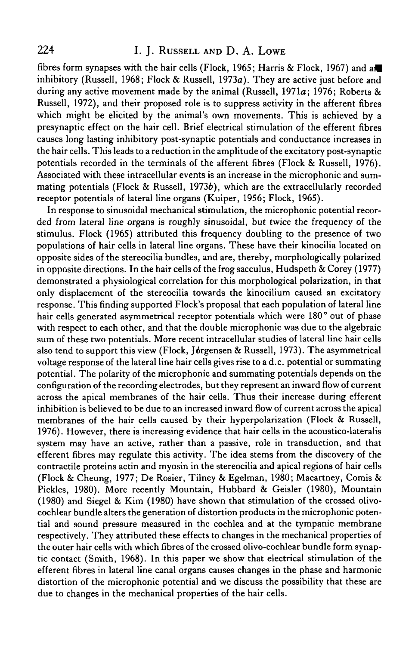## 224 I. J. RUSSELL AND D. A. LOWE

fibres form synapses with the hair cells (Flock, 1965; Harris & Flock, 1967) and a inhibitory (Russell, 1968; Flock & Russell, 1973a). They are active just before and during any active movement made by the animal (Russell, 1971a; 1976; Roberts & Russell, 1972), and their proposed role is to suppress activity in the afferent fibres which might be elicited by the animal's own movements. This is achieved by a presynaptic effect on the hair cell. Brief electrical stimulation of the efferent fibres causes long lasting inhibitory post-synaptic potentials and conductance increases in the hair cells. This leads to a reduction in the amplitude of the excitatory post-synaptic potentials recorded in the terminals of the afferent fibres (Flock & Russell, 1976). Associated with these intracellular events is an increase in the microphonic and summating potentials (Flock & Russell, 19736), which are the extracellularly recorded receptor potentials of lateral line organs (Kuiper, 1956; Flock, 1965).

In response to sinusoidal mechanical stimulation, the microphonic potential recorded from lateral line organs is roughly sinusoidal, but twice the frequency of the stimulus. Flock (1965) attributed this frequency doubling to the presence of two populations of hair cells in lateral line organs. These have their kinocilia located on opposite sides of the stereocilia bundles, and are, thereby, morphologically polarized in opposite directions. In the hair cells of the frog sacculus, Hudspeth & Corey (1977) demonstrated a physiological correlation for this morphological polarization, in that only displacement of the stereocilia towards the kinocilium caused an excitatory response. This finding supported Flock's proposal that each population of lateral line hair cells generated asymmetrical receptor potentials which were 180° out of phase with respect to each other, and that the double microphonic was due to the algebraic sum of these two potentials. More recent intracellular studies of lateral line hair cells also tend to support this view (Flock, Jørgensen & Russell, 1973). The asymmetrical voltage response of the lateral line hair cells gives rise to a d.c. potential or summating potential. The polarity of the microphonic and summating potentials depends on the configuration of the recording electrodes, but they represent an inward flow of current across the apical membranes of the hair cells. Thus their increase during efferent inhibition is believed to be due to an increased inward flow of current across the apical membranes of the hair cells caused by their hyperpolarization (Flock & Russell, 1976). However, there is increasing evidence that hair cells in the acoustico-lateralis system may have an active, rather than a passive, role in transduction, and that efferent fibres may regulate this activity. The idea stems from the discovery of the contractile proteins actin and myosin in the stereocilia and apical regions of hair cells (Flock & Cheung, 1977; De Rosier, Tilney & Egelman, 1980; Macartney, Comis & Pickles, 1980). More recently Mountain, Hubbard & Geisler (1980), Mountain (1980) and Siegel & Kim (1980) have shown that stimulation of the crossed olivocochlear bundle alters the generation of distortion products in the microphonic potential and sound pressure measured in the cochlea and at the tympanic membrane respectively. They attributed these effects to changes in the mechanical properties of the outer hair cells with which fibres of the crossed olivo-cochlear bundle form synaptic contact (Smith, 1968). In this paper we show that electrical stimulation of the efferent fibres in lateral line canal organs causes changes in the phase and harmonic distortion of the microphonic potential and we discuss the possibility that these are due to changes in the mechanical properties of the hair cells.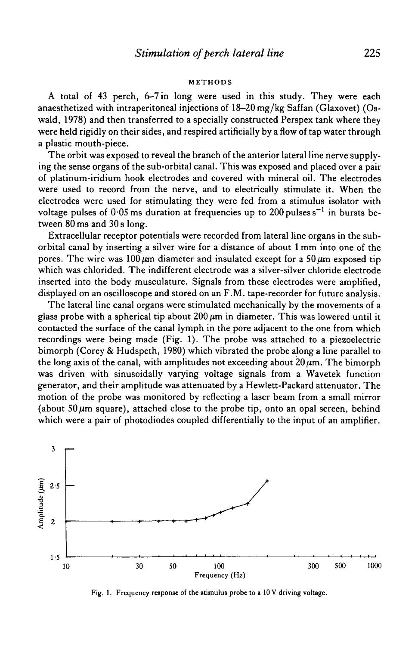#### METHODS

A total of 43 perch, 6-7 in long were used in this study. They were each anaesthetized with intraperitoneal injections of 18-20 mg/kg Saffan (Glaxovet) (Oswald, 1978) and then transferred to a specially constructed Perspex tank where they were held rigidly on their sides, and respired artificially by a flow of tap water through a plastic mouth-piece.

The orbit was exposed to reveal the branch of the anterior lateral line nerve supplying the sense organs of the sub-orbital canal. This was exposed and placed over a pair of platinum-iridium hook electrodes and covered with mineral oil. The electrodes were used to record from the nerve, and to electrically stimulate it. When the electrodes were used for stimulating they were fed from a stimulus isolator with voltage pulses of  $0.05$  ms duration at frequencies up to 200 pulses  $\mathrm{s}^{-1}$  in bursts between 80 ms and 30 s long.

Extracellular receptor potentials were recorded from lateral line organs in the suborbital canal by inserting a silver wire for a distance of about 1 mm into one of the pores. The wire was 100  $\mu$ m diameter and insulated except for a 50  $\mu$ m exposed tip which was chlorided. The indifferent electrode was a silver-silver chloride electrode inserted into the body musculature. Signals from these electrodes were amplified, displayed on an oscilloscope and stored on an F.M. tape-recorder for future analysis.

The lateral line canal organs were stimulated mechanically by the movements of a glass probe with a spherical tip about  $200 \mu m$  in diameter. This was lowered until it contacted the surface of the canal lymph in the pore adjacent to the one from which recordings were being made (Fig. 1). The probe was attached to a piezoelectric bimorph (Corey & Hudspeth, 1980) which vibrated the probe along a line parallel to the long axis of the canal, with amplitudes not exceeding about  $20 \mu m$ . The bimorph was driven with sinusoidally varying voltage signals from a Wavetek function generator, and their amplitude was attenuated by a Hewlett-Packard attenuator. The motion of the probe was monitored by reflecting a laser beam from a small mirror (about  $50 \mu m$  square), attached close to the probe tip, onto an opal screen, behind which were a pair of photodiodes coupled differentially to the input of an amplifier.



Fig. 1. Frequency response of the stimulus probe to a 10 V driving voltage.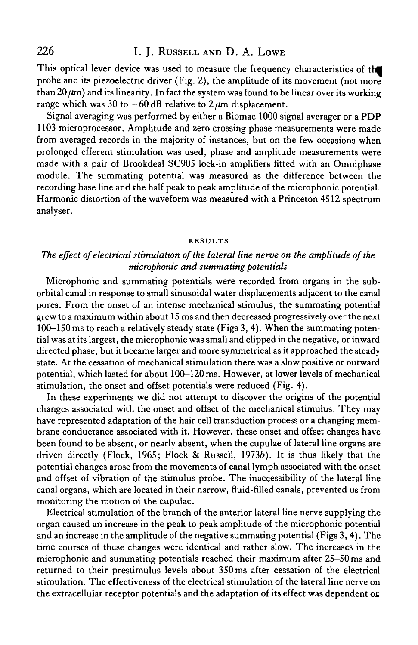This optical lever device was used to measure the frequency characteristics of the probe and its piezoelectric driver (Fig. 2), the amplitude of its movement (not more than  $20 \mu m$ ) and its linearity. In fact the system was found to be linear over its working range which was 30 to  $-60$  dB relative to 2  $\mu$ m displacement.

Signal averaging was performed by either a Biomac 1000 signal averager or a PDP 1103 microprocessor. Amplitude and zero crossing phase measurements were made from averaged records in the majority of instances, but on the few occasions when prolonged efferent stimulation was used, phase and amplitude measurements were made with a pair of Brookdeal SC905 lock-in amplifiers fitted with an Omniphase module. The summating potential was measured as the difference between the recording base line and the half peak to peak amplitude of the microphonic potential. Harmonic distortion of the waveform was measured with a Princeton 4512 spectrum analyser.

### **RESULTS**

## *The effect of electrical stimulation of the lateral line nerve on the amplitude of the microphonic and summating potentials*

Microphonic and summating potentials were recorded from organs in the suborbital canal in response to small sinusoidal water displacements adjacent to the canal pores. From the onset of an intense mechanical stimulus, the summating potential grew to a maximum within about 15 ms and then decreased progressively over the next 100-150 ms to reach a relatively steady state (Figs 3, 4). When the summating potential was at its largest, the microphonic was small and clipped in the negative, or inward directed phase, but it became larger and more symmetrical as it approached the steady state. At the cessation of mechanical stimulation there was a slow positive or outward potential, which lasted for about 100-120 ms. However, at lower levels of mechanical stimulation, the onset and offset potentials were reduced (Fig. 4).

In these experiments we did not attempt to discover the origins of the potential changes associated with the onset and offset of the mechanical stimulus. They may have represented adaptation of the hair cell transduction process or a changing membrane conductance associated with it. However, these onset and offset changes have been found to be absent, or nearly absent, when the cupulae of lateral line organs are driven directly (Flock, 1965; Flock & Russell, 19736). It is thus likely that the potential changes arose from the movements of canal lymph associated with the onset and offset of vibration of the stimulus probe. The inaccessibility of the lateral line canal organs, which are located in their narrow, fluid-filled canals, prevented us from monitoring the motion of the cupulae.

Electrical stimulation of the branch of the anterior lateral line nerve supplying the organ caused an increase in the peak to peak amplitude of the microphonic potential and an increase in the amplitude of the negative summating potential (Figs 3,4). The time courses of these changes were identical and rather slow. The increases in the microphonic and summating potentials reached their maximum after 25-50 ms and returned to their prestimulus levels about 350 ms after cessation of the electrical stimulation. The effectiveness of the electrical stimulation of the lateral line nerve on the extracellular receptor potentials and the adaptation of its effect was dependent on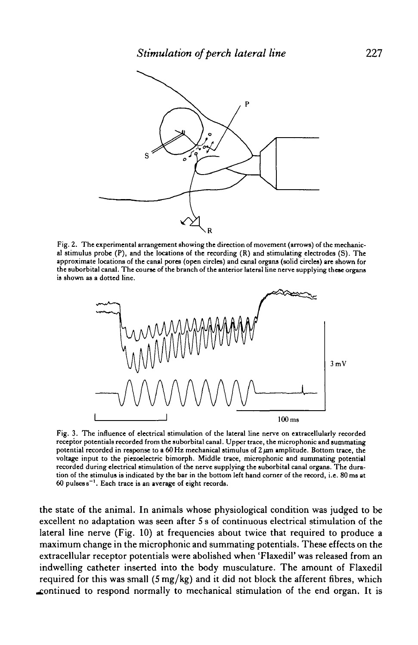

Fig. 2. The experimental arrangement showing the direction of movement (arrows) of the mechanical stimulus probe  $(P)$ , and the locations of the recording  $(R)$  and stimulating electrodes  $(S)$ . The approximate locations of the canal pores (open circles) and canal organs (solid circles) are shown for the suborbital canal. The course of the branch of the anterior lateral line nerve supplying these organs is shown as a dotted line.



Fig. 3. The influence of electrical stimulation of the lateral line nerve on extracellularly recorded receptor potentials recorded from the suborbital canal. Upper trace, the microphonic and summating potential recorded in response to a 60 Hz mechanical stimulus of  $2 \mu m$  amplitude. Bottom trace, the voltage input to the piezoelectric bimorph. Middle trace, microphonic and summating potential recorded during electrical stimulation of the nerve supplying the suborbital canal organs. The duration of the stimulus is indicated by the bar in the bottom left hand corner of the record, i.e. 80 ms at  $60$  pulses  $s^{-1}$ . Each trace is an average of eight records.

the state of the animal. In animals whose physiological condition was judged to be excellent no adaptation was seen after 5 s of continuous electrical stimulation of the lateral line nerve (Fig. 10) at frequencies about twice that required to produce a maximum change in the microphonic and summating potentials. These effects on the extracellular receptor potentials were abolished when 'Flaxedil' was released from an indwelling catheter inserted into the body musculature. The amount of Flaxedil required for this was small  $(5 \text{ mg/kg})$  and it did not block the afferent fibres, which .continued to respond normally to mechanical stimulation of the end organ. It is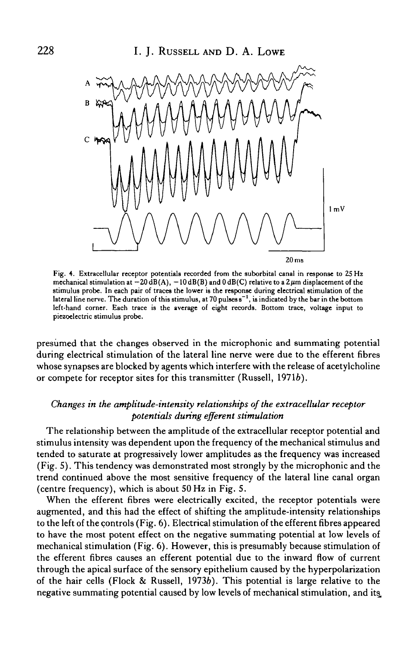

Fig. 4. Extracellular receptor potentials recorded from the suborbital canal in response to 25 Hz mechanical stimulation at  $-20 \text{ dB(A)}$ ,  $-10 \text{ dB(B)}$  and  $0 \text{ dB(C)}$  relative to a  $2 \mu$ m displacement of the stimulus probe. In each pair of traces the lower is the response during electrical stimulation of the lateral line nerve. The duration of this stimulus, at 70 pulses  $s^{-1}$ , is indicated by the bar in the bottom left-hand corner. Each trace is the average of eight records. Bottom trace, voltage input to piezoelectric stimulus probe.

presumed that the changes observed in the microphonic and summating potential during electrical stimulation of the lateral line nerve were due to the efferent fibres whose synapses are blocked by agents which interfere with the release of acetylcholine or compete for receptor sites for this transmitter (Russell, 19716).

### *Changes in the amplitude-intensity relationships of the extracellular receptor potentials during efferent stimulation*

The relationship between the amplitude of the extracellular receptor potential and stimulus intensity was dependent upon the frequency of the mechanical stimulus and tended to saturate at progressively lower amplitudes as the frequency was increased (Fig. 5). This tendency was demonstrated most strongly by the microphonic and the trend continued above the most sensitive frequency of the lateral line canal organ (centre frequency), which is about 50 Hz in Fig. 5.

When the efferent fibres were electrically excited, the receptor potentials were augmented, and this had the effect of shifting the amplitude-intensity relationships to the left of the controls (Fig. 6). Electrical stimulation of the efferent fibres appeared to have the most potent effect on the negative summating potential at low levels of mechanical stimulation (Fig. 6). However, this is presumably because stimulation of the efferent fibres causes an efferent potential due to the inward flow of current through the apical surface of the sensory epithelium caused by the hyperpolarization of the hair cells (Flock & Russell, 1973b). This potential is large relative to the negative summating potential caused by low levels of mechanical stimulation, and its.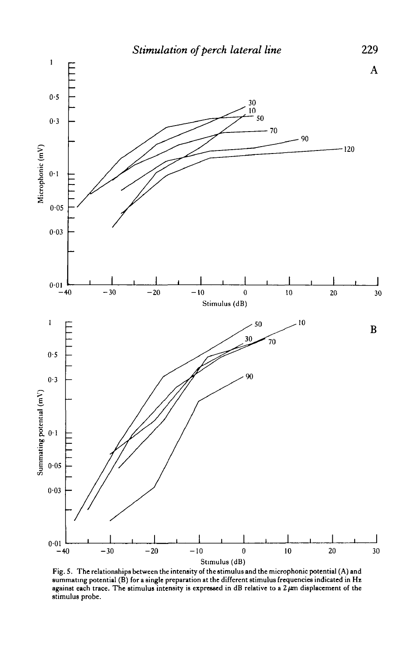

Fig. S. The relationships between the intensity of the stimulus and the microphonic potential (A) and summating potential (B) for a single preparation at the different stimulus frequencies indicated in Hz against each trace. The stimulus intensity is expressed in dB relative to a  $2 \mu m$  displacement of the stimulus probe.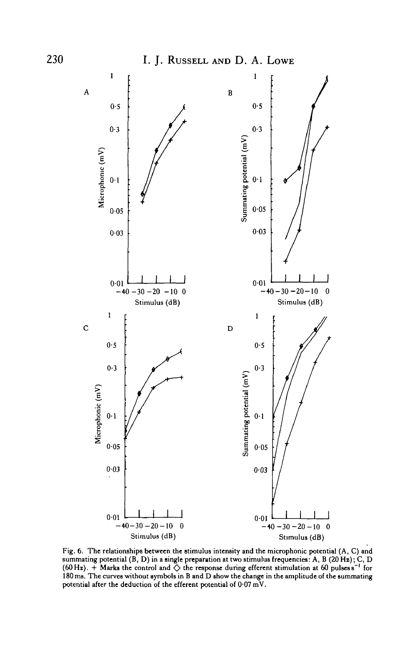

Fig. 6. The relationships between the stimulus intensity and the microphonic potential (A, C) and summating potential (B, D) in a single preparation at two stimulus frequencies: A, B (20 Hz); C, D (60 Hz).  $\div$  Marks the control and  $\diamondsuit$  the response during efferent stimulation at 60 pulses s<sup>-1</sup> for 180 ms. The curves without symbols in B and D show the change in the amplitude of the summating 180 ms. The curves without symbols in B and D show the change in the amplitude of the summating potential after the deduction of the efferent potential of  $0.07 \text{ mV}$ .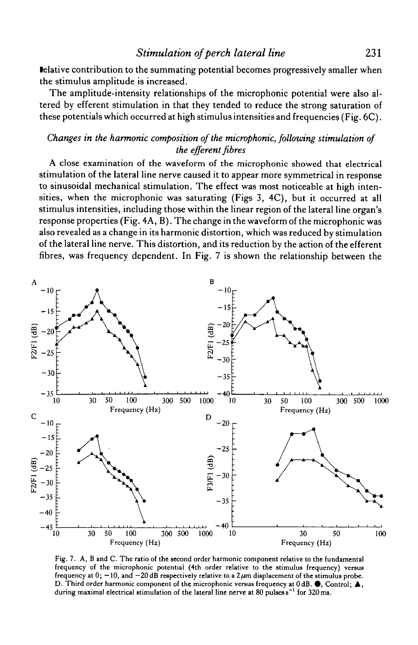lelative contribution to the summating potential becomes progressively smaller when the stimulus amplitude is increased.

The amplitude-intensity relationships of the microphonic potential were also altered by efferent stimulation in that they tended to reduce the strong saturation of these potentials which occurred at high stimulus intensities and frequencies (Fig. 6C).

## *Changes in the harmonic composition of the microphonic, following stimulation of the efferent fibres*

A close examination of the waveform of the microphonic showed that electrical stimulation of the lateral line nerve caused it to appear more symmetrical in response to sinusoidal mechanical stimulation. The effect was most noticeable at high intensities, when the microphonic was saturating (Figs 3, 4C), but it occurred at all stimulus intensities, including those within the linear region of the lateral line organ's response properties (Fig. 4A, B). The change in the waveform of the microphonic was also revealed as a change in its harmonic distortion, which was reduced by stimulation of the lateral line nerve. This distortion, and its reduction by the action of the efferent fibres, was frequency dependent. In Fig. 7 is shown the relationship between the



Fig. 7. A, B and C. The ratio of the second order harmonic component relative to the fundamental frequency of the microphonic potential (4th order relative to the stimulus frequency) versus frequency at  $0$ ;  $-10$ , and  $-20$  dB respectively relative to a  $2 \mu m$  displacement of the stimulus probe. D. Third order harmonic component of the microphonic versus frequency at  $0 dB$ .  $\bigcirc$ , Control;  $\blacktriangle$ , during maximal electrical stimulation of the lateral line nerve at 80 pulses s<sup>-1</sup> for 320 ms.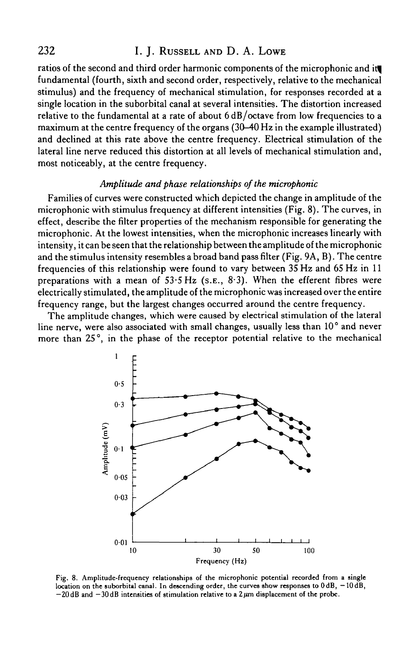## 232 I. J. RUSSELL AND D. A. LOWE

ratios of the second and third order harmonic components of the microphonic and itj fundamental (fourth, sixth and second order, respectively, relative to the mechanical stimulus) and the frequency of mechanical stimulation, for responses recorded at a single location in the suborbital canal at several intensities. The distortion increased relative to the fundamental at a rate of about  $6 dB/c$  ctave from low frequencies to a maximum at the centre frequency of the organs (30-40 Hz in the example illustrated) and declined at this rate above the centre frequency. Electrical stimulation of the lateral line nerve reduced this distortion at all levels of mechanical stimulation and, most noticeably, at the centre frequency.

## *Amplitude and phase relationships of the microphonic*

Families of curves were constructed which depicted the change in amplitude of the microphonic with stimulus frequency at different intensities (Fig. 8). The curves, in effect, describe the filter properties of the mechanism responsible for generating the microphonic. At the lowest intensities, when the microphonic increases linearly with intensity, it can be seen that the relationship between the amplitude of the microphonic and the stimulus intensity resembles a broad band pass filter (Fig. 9A, B). The centre frequencies of this relationship were found to vary between 35 Hz and 65 Hz in 11 preparations with a mean of  $53.5$  Hz (s.e.,  $8.3$ ). When the efferent fibres were electrically stimulated, the amplitude of the microphonic was increased over the entire frequency range, but the largest changes occurred around the centre frequency.

The amplitude changes, which were caused by electrical stimulation of the lateral line nerve, were also associated with small changes, usually less than 10° and never more than 25°, in the phase of the receptor potential relative to the mechanical



Fig. 8. Amplitude-frequency relationships of the microphonic potential recorded from a single location on the suborbital canal. In descending order, the curves show responses to  $0 dB$ ,  $-10 dB$ ,  $-20$  dB and  $-30$  dB intensities of stimulation relative to a 2  $\mu$ m displacement of the probe.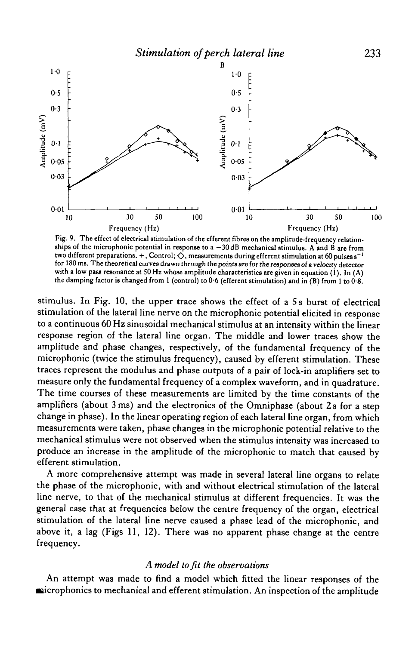

Fig. 9. The effect of electrical stimulation of the efferent fibres on the amplitude-frequency relationships of the microphonic potential in response to  $a - 30$  dB mechanical stimulus. A and B are from two different preparations.  $+$ , Control;  $\Diamond$ , measurements during efferent stimulation at 60 pulses s<sup>-1</sup> for 180 me. The theoretical curves drawn through the points are for the responses of a velocity detector with a low pass resonance at 50 Hz whose amplitude characteristics are given in equation (1). In (A) the damping factor is changed from 1 (control) to  $0.6$  (efferent stimulation) and in (B) from 1 to  $0.8$ .

stimulus. In Fig. 10, the upper trace shows the effect of a 5s burst of electrical stimulation of the lateral line nerve on the microphonic potential elicited in response to a continuous 60 Hz sinusoidal mechanical stimulus at an intensity within the linear response region of the lateral line organ. The middle and lower traces show the amplitude and phase changes, respectively, of the fundamental frequency of the microphonic (twice the stimulus frequency), caused by efferent stimulation. These traces represent the modulus and phase outputs of a pair of lock-in amplifiers set to measure only the fundamental frequency of a complex waveform, and in quadrature. The time courses of these measurements are limited by the time constants of the amplifiers (about  $3 \text{ ms}$ ) and the electronics of the Omniphase (about  $2 \text{ s}$  for a step change in phase). In the linear operating region of each lateral line organ, from which measurements were taken, phase changes in the microphonic potential relative to the mechanical stimulus were not observed when the stimulus intensity was increased to produce an increase in the amplitude of the microphonic to match that caused by efferent stimulation.

A more comprehensive attempt was made in several lateral line organs to relate the phase of the microphonic, with and without electrical stimulation of the lateral line nerve, to that of the mechanical stimulus at different frequencies. It was the general case that at frequencies below the centre frequency of the organ, electrical stimulation of the lateral line nerve caused a phase lead of the microphonic, and above it, a lag (Figs 11, 12). There was no apparent phase change at the centre frequency.

### *A model to fit the observations*

An attempt was made to find a model which fitted the linear responses of the **Example 1** intervals and efferent stimulation. An inspection of the amplitude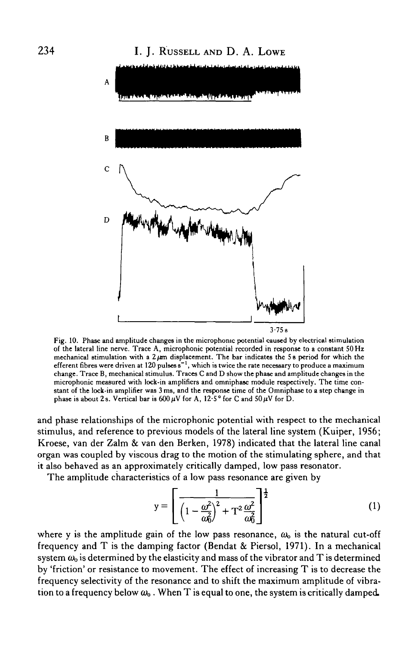

Fig. 10. Phase and amplitude changes in the microphonic potential caused by electrical stimulation of the lateral line nerve. Trace A, microphonic potential recorded in response to a constant SO Hz mechanical stimulation with a 2  $\mu$ m displacement. The bar indicates the 5 s period for which the efferent fibres were driven at 120 pulses  $\mathrm{s}^{-1},$  which is twice the rate necessary to produce a maximum change. Trace B, mechanical stimulus. Traces C and D show the phase and amplitude changes in the microphonic measured with lock-in amplifiers and omniphase module respectively. The time constant of the lock-in amplifier was 3 ms, and the response time of the Omniphase to a step change in phase is about 2s. Vertical bar is  $600 \,\mu\text{V}$  for A,  $12.5^{\circ}$  for C and  $50 \,\mu\text{V}$  for D.

and phase relationships of the microphonic potential with respect to the mechanical stimulus, and reference to previous models of the lateral line system (Kuiper, 1956; Kroese, van der Zalm & van den Berken, 1978) indicated that the lateral line canal organ was coupled by viscous drag to the motion of the stimulating sphere, and that it also behaved as an approximately critically damped, low pass resonator.

The amplitude characteristics of a low pass resonance are given by

$$
y = \left[ \frac{1}{\left(1 - \frac{\omega^2}{\omega_0^2}\right)^2 + T^2 \frac{\omega^2}{\omega_0^2}} \right]^{\frac{1}{2}}
$$
(1)

where y is the amplitude gain of the low pass resonance,  $\omega_0$  is the natural cut-off frequency and T is the damping factor (Bendat & Piersol, 1971). In a mechanical system  $\omega_0$  is determined by the elasticity and mass of the vibrator and T is determined by 'friction' or resistance to movement. The effect of increasing T is to decrease the frequency selectivity of the resonance and to shift the maximum amplitude of vibration to a frequency below  $\omega_0$ . When T is equal to one, the system is critically damped.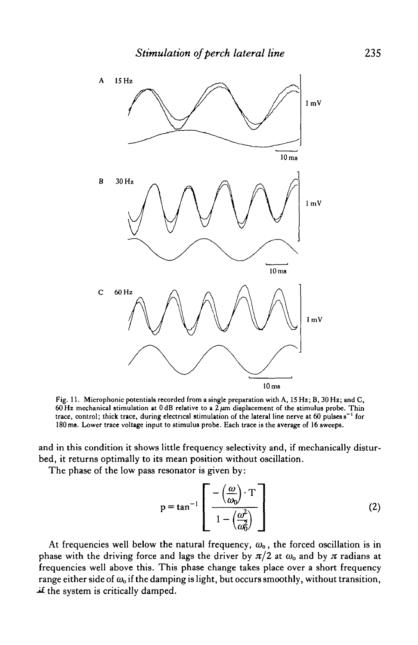

Fig. 11. Microphonic potentials recorded from a single preparation with A, 15 Hz; B, 30 Hz; and C, 60 Hz mechanical stimulation at  $0 dB$  relative to a  $2 \mu m$  displacement of the stimulus probe. Thin trace, control; thick trace, during electrical stimulation of the lateral line nerve at 60 pulses s<sup>-1</sup> for 180 ms. Lower trace voltage input to stimulus probe. Each trace is the average of 16 sweeps.

and in this condition it shows little frequency selectivity and, if mechanically disturbed, it returns optimally to its mean position without oscillation.

The phase of the low pass resonator is given by:

$$
p = \tan^{-1} \left[ \frac{-\left(\frac{\omega}{\omega_0}\right) \cdot T}{1 - \left(\frac{\omega^2}{\omega_0^2}\right)} \right]
$$
 (2)

At frequencies well below the natural frequency,  $\omega_0$ , the forced oscillation is in phase with the driving force and lags the driver by  $\pi/2$  at  $\omega_0$  and by  $\pi$  radians at frequencies well above this. This phase change takes place over a short frequency range either side of *(Do* if the damping is light, but occurs smoothly, without transition,  $\pm$  the system is critically damped.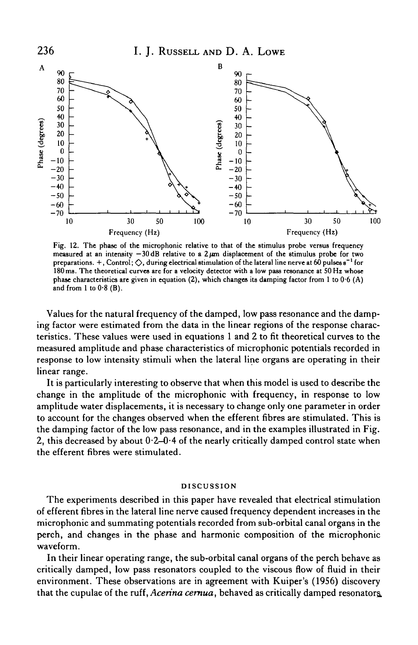

Fig. 12. The phase of the microphonic relative to that of the stimulus probe versus frequency measured at an intensity  $-30$  dB relative to a 2  $\mu$ m displacement of the stimulus probe for two preparations. +, Control;  $\Diamond$ , during electrical stimulation of the lateral line nerve at 60 pulses  $s^{-1}$  for 180 ms. The theoretical curves are for a velocity detector with a low pass resonance at 50 Hz whose phase characteristics are given in equation (2), which changes its damping factor from 1 to  $0.6$  (A) and from 1 to  $0.8$  (B).

Values for the natural frequency of the damped, low pass resonance and the damping factor were estimated from the data in the linear regions of the response characteristics. These values were used in equations 1 and 2 to fit theoretical curves to the measured amplitude and phase characteristics of microphonic potentials recorded in response to low intensity stimuli when the lateral line organs are operating in their linear range.

It is particularly interesting to observe that when this model is used to describe the change in the amplitude of the microphonic with frequency, in response to low amplitude water displacements, it is necessary to change only one parameter in order to account for the changes observed when the efferent fibres are stimulated. This is the damping factor of the low pass resonance, and in the examples illustrated in Fig. 2, this decreased by about 0-2-0-4 of the nearly critically damped control state when the efferent fibres were stimulated.

#### DISCUSSION

The experiments described in this paper have revealed that electrical stimulation of efferent fibres in the lateral line nerve caused frequency dependent increases in the microphonic and summating potentials recorded from sub-orbital canal organs in the perch, and changes in the phase and harmonic composition of the microphonic waveform.

In their linear operating range, the sub-orbital canal organs of the perch behave as critically damped, low pass resonators coupled to the viscous flow of fluid in their environment. These observations are in agreement with Kuiper's (1956) discovery that the cupulae of the ruff, *Acerina cernua,* behaved as critically damped resonators.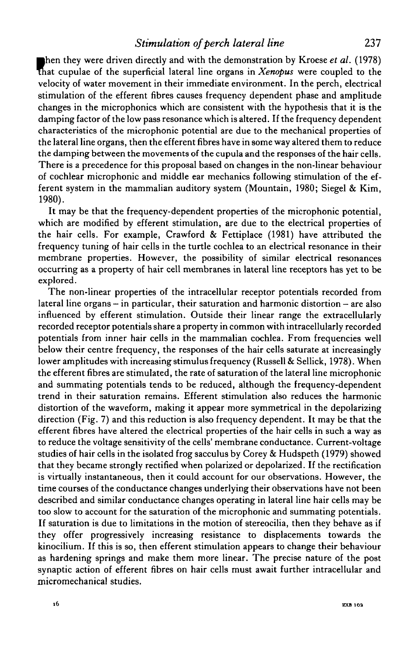## *Stimulation of perch lateral line* 237

then they were driven directly and with the demonstration by Kroese et al. (1978)<br>that cupulae of the superficial lateral line organs in *Xenopus* were coupled to the<br>uplosity of water movement in their immediate ourisonme hen they were driven directly and with the demonstration by Kroese *et al.* (1978) velocity of water movement in their immediate environment. In the perch, electrical stimulation of the efferent fibres causes frequency dependent phase and amplitude changes in the microphonics which are consistent with the hypothesis that it is the damping factor of the low pass resonance which is altered. If the frequency dependent characteristics of the microphonic potential are due to the mechanical properties of the lateral line organs, then the efferent fibres have in some way altered them to reduce the damping between the movements of the cupula and the responses of the hair cells. There is a precedence for this proposal based on changes in the non-linear behaviour of cochlear microphonic and middle ear mechanics following stimulation of the efferent system in the mammalian auditory system (Mountain, 1980; Siegel & Kim, 1980).

It may be that the frequency-dependent properties of the microphonic potential, which are modified by efferent stimulation, are due to the electrical properties of the hair cells. For example, Crawford & Fettiplace (1981) have attributed the frequency tuning of hair cells in the turtle cochlea to an electrical resonance in their membrane properties. However, the possibility of similar electrical resonances occurring as a property of hair cell membranes in lateral line receptors has yet to be explored.

The non-linear properties of the intracellular receptor potentials recorded from lateral line organs  $-$  in particular, their saturation and harmonic distortion  $-$  are also influenced by efferent stimulation. Outside their linear range the extracellularly recorded receptor potentials share a property in common with intracellularly recorded potentials from inner hair cells in the mammalian cochlea. From frequencies well below their centre frequency, the responses of the hair cells saturate at increasingly lower amplitudes with increasing stimulus frequency (Russell & Sellick, 1978). When the efferent fibres are stimulated, the rate of saturation of the lateral line microphonic and summating potentials tends to be reduced, although the frequency-dependent trend in their saturation remains. Efferent stimulation also reduces the harmonic distortion of the waveform, making it appear more symmetrical in the depolarizing direction (Fig. 7) and this reduction is also frequency dependent. It may be that the efferent fibres have altered the electrical properties of the hair cells in such a way as to reduce the voltage sensitivity of the cells' membrane conductance. Current-voltage studies of hair cells in the isolated frog sacculus by Corey & Hudspeth (1979) showed that they became strongly rectified when polarized or depolarized. If the rectification is virtually instantaneous, then it could account for our observations. However, the time courses of the conductance changes underlying their observations have not been described and similar conductance changes operating in lateral line hair cells may be too slow to account for the saturation of the microphonic and summating potentials. If saturation is due to limitations in the motion of stereocilia, then they behave as if they offer progressively increasing resistance to displacements towards the kinocilium. If this is so, then efferent stimulation appears to change their behaviour as hardening springs and make them more linear. The precise nature of the post synaptic action of efferent fibres on hair cells must await further intracellular and micromechanical studies.